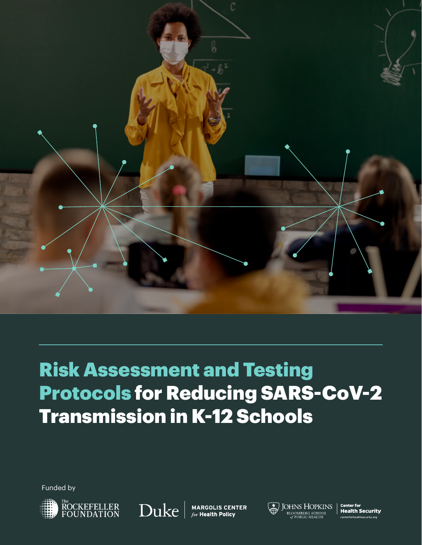

# Risk Assessment and Testing Protocols for Reducing SARS-CoV-2 Transmission in K-12 Schools

Funded by





**MARGOLIS CENTER** for Health Policy



**JOHNS HOPKINS** BLOOMBERG SCHOOL<br>of Public Health

**Center for Health Security** centerforhealthsecurity.org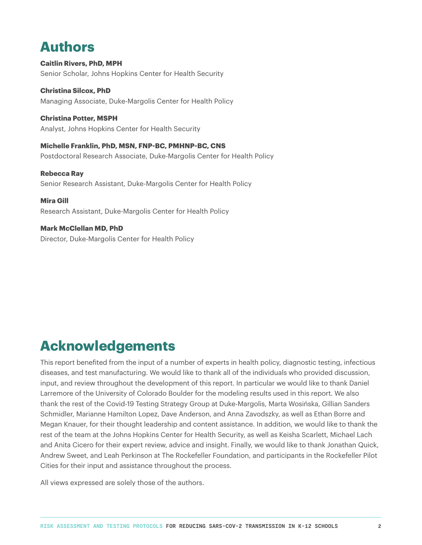### **Authors**

**Caitlin Rivers, PhD, MPH**  Senior Scholar, Johns Hopkins Center for Health Security

**Christina Silcox, PhD** Managing Associate, Duke-Margolis Center for Health Policy

**Christina Potter, MSPH**  Analyst, Johns Hopkins Center for Health Security

**Michelle Franklin, PhD, MSN, FNP-BC, PMHNP-BC, CNS** Postdoctoral Research Associate, Duke-Margolis Center for Health Policy

**Rebecca Ray** Senior Research Assistant, Duke-Margolis Center for Health Policy

**Mira Gill** Research Assistant, Duke-Margolis Center for Health Policy

**Mark McClellan MD, PhD** Director, Duke-Margolis Center for Health Policy

### **Acknowledgements**

This report benefited from the input of a number of experts in health policy, diagnostic testing, infectious diseases, and test manufacturing. We would like to thank all of the individuals who provided discussion, input, and review throughout the development of this report. In particular we would like to thank Daniel Larremore of the University of Colorado Boulder for the modeling results used in this report. We also thank the rest of the Covid-19 Testing Strategy Group at Duke-Margolis, Marta Wosińska, Gillian Sanders Schmidler, Marianne Hamilton Lopez, Dave Anderson, and Anna Zavodszky, as well as Ethan Borre and Megan Knauer, for their thought leadership and content assistance. In addition, we would like to thank the rest of the team at the Johns Hopkins Center for Health Security, as well as Keisha Scarlett, Michael Lach and Anita Cicero for their expert review, advice and insight. Finally, we would like to thank Jonathan Quick, Andrew Sweet, and Leah Perkinson at The Rockefeller Foundation, and participants in the Rockefeller Pilot Cities for their input and assistance throughout the process.

All views expressed are solely those of the authors.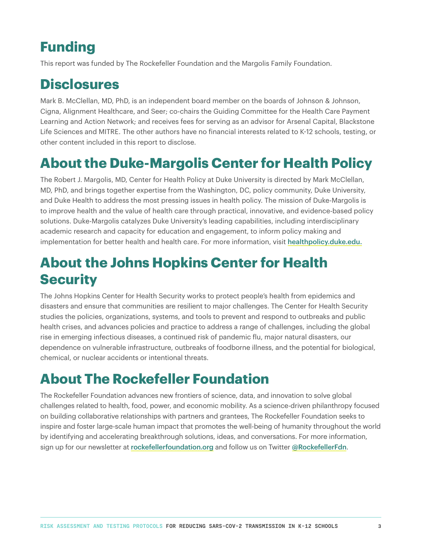## **Funding**

This report was funded by The Rockefeller Foundation and the Margolis Family Foundation.

### **Disclosures**

Mark B. McClellan, MD, PhD, is an independent board member on the boards of Johnson & Johnson, Cigna, Alignment Healthcare, and Seer; co-chairs the Guiding Committee for the Health Care Payment Learning and Action Network; and receives fees for serving as an advisor for Arsenal Capital, Blackstone Life Sciences and MITRE. The other authors have no financial interests related to K-12 schools, testing, or other content included in this report to disclose.

## **About the Duke-Margolis Center for Health Policy**

The Robert J. Margolis, MD, Center for Health Policy at Duke University is directed by Mark McClellan, MD, PhD, and brings together expertise from the Washington, DC, policy community, Duke University, and Duke Health to address the most pressing issues in health policy. The mission of Duke-Margolis is to improve health and the value of health care through practical, innovative, and evidence-based policy solutions. Duke-Margolis catalyzes Duke University's leading capabilities, including interdisciplinary academic research and capacity for education and engagement, to inform policy making and implementation for better health and health care. For more information, visit [healthpolicy.duke.edu.](https://healthpolicy.duke.edu/)

## **About the Johns Hopkins Center for Health Security**

The Johns Hopkins Center for Health Security works to protect people's health from epidemics and disasters and ensure that communities are resilient to major challenges. The Center for Health Security studies the policies, organizations, systems, and tools to prevent and respond to outbreaks and public health crises, and advances policies and practice to address a range of challenges, including the global rise in emerging infectious diseases, a continued risk of pandemic flu, major natural disasters, our dependence on vulnerable infrastructure, outbreaks of foodborne illness, and the potential for biological, chemical, or nuclear accidents or intentional threats.

### **About The Rockefeller Foundation**

The Rockefeller Foundation advances new frontiers of science, data, and innovation to solve global challenges related to health, food, power, and economic mobility. As a science-driven philanthropy focused on building collaborative relationships with partners and grantees, The Rockefeller Foundation seeks to inspire and foster large-scale human impact that promotes the well-being of humanity throughout the world by identifying and accelerating breakthrough solutions, ideas, and conversations. For more information, sign up for our newsletter at [rockefellerfoundation.org](https://www.rockefellerfoundation.org/) and follow us on Twitter [@RockefellerFdn](https://twitter.com/rockefellerfdn?lang=en).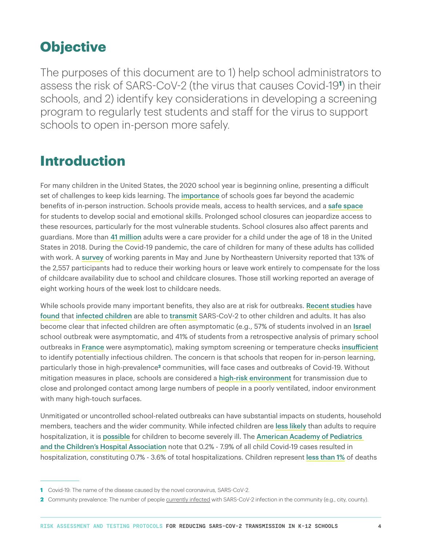### **Objective**

The purposes of this document are to 1) help school administrators to assess the risk of SARS-CoV-2 (the virus that causes Covid-19**<sup>1</sup>** ) in their schools, and 2) identify key considerations in developing a screening program to regularly test students and staff for the virus to support schools to open in-person more safely.

### **Introduction**

For many children in the United States, the 2020 school year is beginning online, presenting a difficult set of challenges to keep kids learning. The [importance](https://www.cdc.gov/coronavirus/2019-ncov/community/schools-childcare/reopening-schools.html) of schools goes far beyond the academic benefits of in-person instruction. Schools provide meals, access to health services, and a [safe space](https://www.nap.edu/catalog/25858/reopening-k-12-schools-during-the-covid-19-pandemic-prioritizing) for students to develop social and emotional skills. Prolonged school closures can jeopardize access to these resources, particularly for the most vulnerable students. School closures also affect parents and guardians. More than [41 million](https://www.brookings.edu/research/working-parents-are-key-to-covid-19-recovery/) adults were a care provider for a child under the age of 18 in the United States in 2018. During the Covid-19 pandemic, the care of children for many of these adults has collided with work. A [survey](https://cssh.northeastern.edu/policyschool/covid-19-the-economy-and-childcare-a-conundrum/) of working parents in May and June by Northeastern University reported that 13% of the 2,557 participants had to reduce their working hours or leave work entirely to compensate for the loss of childcare availability due to school and childcare closures. Those still working reported an average of eight working hours of the week lost to childcare needs.

While schools provide many important benefits, they also are at risk for outbreaks. [Recent studies](https://wwwnc.cdc.gov/eid/article/26/10/20-1315_article) have [found](https://www.cdc.gov/mmwr/volumes/69/wr/mm6931e1.htm) that [infected children](https://www.cdc.gov/mmwr/volumes/69/wr/mm6940e2.htm?s_cid=mm6940e2_w) are able to [transmit](https://www.cdc.gov/mmwr/volumes/69/wr/mm6937e3.htm?s_cid=mm6937e3_w) SARS-CoV-2 to other children and adults. It has also become clear that infected children are often asymptomatic (e.g., 57% of students involved in an [Israel](https://www.eurosurveillance.org/content/10.2807/1560-7917.ES.2020.25.29.2001352) school outbreak were asymptomatic, and 41% of students from a retrospective analysis of primary school outbreaks in [France](https://www.medrxiv.org/content/10.1101/2020.06.25.20140178v2) were asymptomatic), making symptom screening or temperature checks [insufficient](https://www.cdc.gov/mmwr/volumes/69/wr/mm6937e3.htm) to identify potentially infectious children. The concern is that schools that reopen for in-person learning, particularly those in high-prevalence**2** communities, will face cases and outbreaks of Covid-19. Without mitigation measures in place, schools are considered a [high-risk environment](https://www.centerforhealthsecurity.org/our-work/publications/public-health-principles-for-a-phased-reopening-during-covid-19-guidance-for-governors) for transmission due to close and prolonged contact among large numbers of people in a poorly ventilated, indoor environment with many high-touch surfaces.

Unmitigated or uncontrolled school-related outbreaks can have substantial impacts on students, household members, teachers and the wider community. While infected children are [less likely](https://www.cdc.gov/mmwr/volumes/69/wr/mm6914e4.htm?s_cid=mm6914e4_w) than adults to require hospitalization, it is [possible](https://www.cdc.gov/mmwr/volumes/69/wr/mm6924e2.htm?s_cid=mm6924e2_w) for children to become severely ill. The American Academy of Pediatrics [and the Children's Hospital Association](https://services.aap.org/en/pages/2019-novel-coronavirus-covid-19-infections/children-and-covid-19-state-level-data-report/) note that 0.2% - 7.9% of all child Covid-19 cases resulted in hospitalization, constituting 0.7% - 3.6% of total hospitalizations. Children represent [less than 1%](https://services.aap.org/en/pages/2019-novel-coronavirus-covid-19-infections/children-and-covid-19-state-level-data-report/) of deaths

**<sup>1</sup>** Covid-19: The name of the disease caused by the novel coronavirus, SARS-CoV-2.

**<sup>2</sup>** Community prevalence: The number of people currently infected with SARS-CoV-2 infection in the community (e.g., city, county).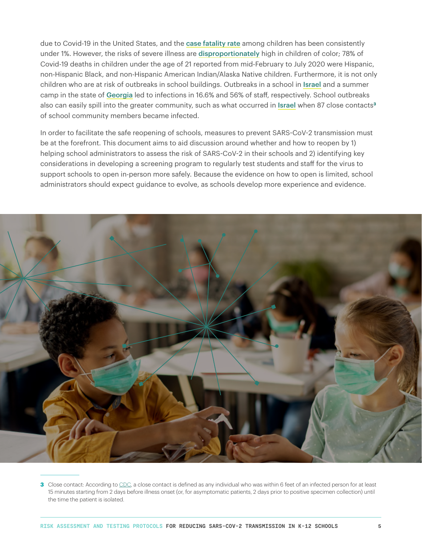due to Covid-19 in the United States, and the [case fatality rate](https://services.aap.org/en/pages/2019-novel-coronavirus-covid-19-infections/children-and-covid-19-state-level-data-report/) among children has been consistently under 1%. However, the risks of severe illness are [disproportionately](https://www.cdc.gov/mmwr/volumes/69/wr/mm6937e4.htm?s_cid=mm6937e4_w) high in children of color; 78% of Covid-19 deaths in children under the age of 21 reported from mid-February to July 2020 were Hispanic, non-Hispanic Black, and non-Hispanic American Indian/Alaska Native children. Furthermore, it is not only children who are at risk of outbreaks in school buildings. Outbreaks in a school in [Israel](https://www.eurosurveillance.org/content/10.2807/1560-7917.ES.2020.25.29.2001352) and a summer camp in the state of [Georgia](https://www.cdc.gov/mmwr/volumes/69/wr/mm6931e1.htm?s_cid=mm6931e1_w) led to infections in 16.6% and 56% of staff, respectively. School outbreaks also can easily spill into the greater community, such as what occurred in [Israel](https://www.eurosurveillance.org/content/10.2807/1560-7917.ES.2020.25.29.2001352) when 87 close contacts**<sup>3</sup>** of school community members became infected.

In order to facilitate the safe reopening of schools, measures to prevent SARS-CoV-2 transmission must be at the forefront. This document aims to aid discussion around whether and how to reopen by 1) helping school administrators to assess the risk of SARS-CoV-2 in their schools and 2) identifying key considerations in developing a screening program to regularly test students and staff for the virus to support schools to open in-person more safely. Because the evidence on how to open is limited, school administrators should expect guidance to evolve, as schools develop more experience and evidence.



**<sup>3</sup>** Close contact: According t[o](https://www.cdc.gov/coronavirus/2019-ncov/php/contact-tracing/contact-tracing-plan/contact-tracing.html) [CDC,](https://www.cdc.gov/coronavirus/2019-ncov/php/contact-tracing/contact-tracing-plan/contact-tracing.html) a close contact is defined as any individual who was within 6 feet of an infected person for at least 15 minutes starting from 2 days before illness onset (or, for asymptomatic patients, 2 days prior to positive specimen collection) until the time the patient is isolated.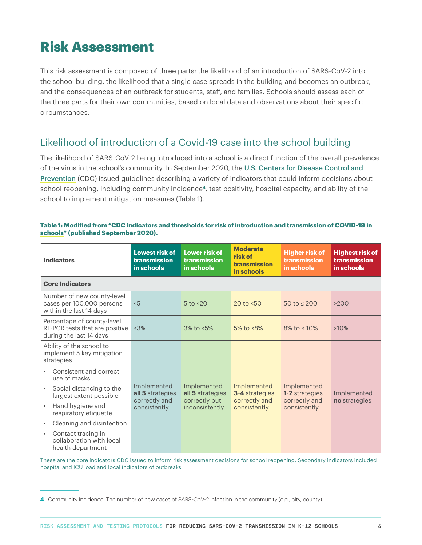## **Risk Assessment**

This risk assessment is composed of three parts: the likelihood of an introduction of SARS-CoV-2 into the school building, the likelihood that a single case spreads in the building and becomes an outbreak, and the consequences of an outbreak for students, staff, and families. Schools should assess each of the three parts for their own communities, based on local data and observations about their specific circumstances.

### Likelihood of introduction of a Covid-19 case into the school building

The likelihood of SARS-CoV-2 being introduced into a school is a direct function of the overall prevalence of the virus in the school's community. In September 2020, the [U.S. Centers for Disease Control and](https://www.cdc.gov/coronavirus/2019-ncov/community/schools-childcare/indicators.html)  [Prevention](https://www.cdc.gov/coronavirus/2019-ncov/community/schools-childcare/indicators.html) (CDC) issued guidelines describing a variety of indicators that could inform decisions about school reopening, including community incidence**4**, test positivity, hospital capacity, and ability of the school to implement mitigation measures (Table 1).

| <b>Indicators</b>                                                                       | <b>Lowest risk of</b><br>transmission<br>in schools | <b>Lower risk of</b><br>transmission<br>in schools                 | <b>Moderate</b><br>risk of<br>transmission<br>in schools              | <b>Higher risk of</b><br>transmission<br>in schools                   | <b>Highest risk of</b><br>transmission<br>in schools |  |
|-----------------------------------------------------------------------------------------|-----------------------------------------------------|--------------------------------------------------------------------|-----------------------------------------------------------------------|-----------------------------------------------------------------------|------------------------------------------------------|--|
| <b>Core Indicators</b>                                                                  |                                                     |                                                                    |                                                                       |                                                                       |                                                      |  |
| Number of new county-level<br>cases per 100,000 persons<br>within the last 14 days      | 5                                                   | $5$ to $<$ 20                                                      | 20 to $< 50$                                                          | 50 to $\leq$ 200                                                      | >200                                                 |  |
| Percentage of county-level<br>RT-PCR tests that are positive<br>during the last 14 days | <3%                                                 | $3\%$ to $\leq 5\%$                                                | 5% to $<8\%$                                                          | $8\%$ to $\leq 10\%$                                                  | $>10\%$                                              |  |
| Ability of the school to<br>implement 5 key mitigation<br>strategies:                   |                                                     |                                                                    |                                                                       |                                                                       |                                                      |  |
| Consistent and correct<br>use of masks                                                  |                                                     |                                                                    |                                                                       |                                                                       |                                                      |  |
| Social distancing to the<br>$\bullet$<br>largest extent possible                        | Implemented<br>all 5 strategies<br>correctly and    | Implemented<br>all 5 strategies<br>correctly but<br>inconsistently | Implemented<br><b>3-4</b> strategies<br>correctly and<br>consistently | Implemented<br><b>1-2</b> strategies<br>correctly and<br>consistently | Implemented<br>no strategies                         |  |
| Hand hygiene and<br>$\bullet$<br>respiratory etiquette                                  | consistently                                        |                                                                    |                                                                       |                                                                       |                                                      |  |
| Cleaning and disinfection<br>$\bullet$                                                  |                                                     |                                                                    |                                                                       |                                                                       |                                                      |  |
| Contact tracing in<br>٠<br>collaboration with local<br>health department                |                                                     |                                                                    |                                                                       |                                                                       |                                                      |  |

#### **Table 1: Modified from ["CDC indicators and thresholds for risk of introduction and transmission of COVID-19 in](https://www.cdc.gov/coronavirus/2019-ncov/community/schools-childcare/indicators.html#thresholds)  [schools](https://www.cdc.gov/coronavirus/2019-ncov/community/schools-childcare/indicators.html#thresholds)" (published September 2020).**

These are the core indicators CDC issued to inform risk assessment decisions for school reopening. Secondary indicators included hospital and ICU load and local indicators of outbreaks.

**<sup>4</sup>** Community incidence: The number of new cases of SARS-CoV-2 infection in the community (e.g., city, county).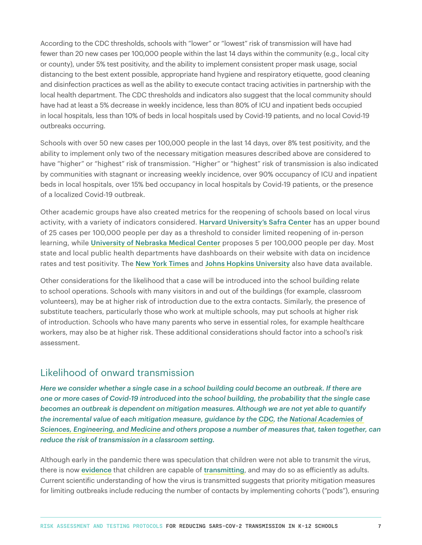According to the CDC thresholds, schools with "lower" or "lowest" risk of transmission will have had fewer than 20 new cases per 100,000 people within the last 14 days within the community (e.g., local city or county), under 5% test positivity, and the ability to implement consistent proper mask usage, social distancing to the best extent possible, appropriate hand hygiene and respiratory etiquette, good cleaning and disinfection practices as well as the ability to execute contact tracing activities in partnership with the local health department. The CDC thresholds and indicators also suggest that the local community should have had at least a 5% decrease in weekly incidence, less than 80% of ICU and inpatient beds occupied in local hospitals, less than 10% of beds in local hospitals used by Covid-19 patients, and no local Covid-19 outbreaks occurring.

Schools with over 50 new cases per 100,000 people in the last 14 days, over 8% test positivity, and the ability to implement only two of the necessary mitigation measures described above are considered to have "higher" or "highest" risk of transmission. "Higher" or "highest" risk of transmission is also indicated by communities with stagnant or increasing weekly incidence, over 90% occupancy of ICU and inpatient beds in local hospitals, over 15% bed occupancy in local hospitals by Covid-19 patients, or the presence of a localized Covid-19 outbreak.

Other academic groups have also created metrics for the reopening of schools based on local virus activity, with a variety of indicators considered. [Harvard University's Safra Center](https://globalepidemics.org/wp-content/uploads/2020/07/pandemic_resilient_schools_briefing_72020.pdf) has an upper bound of 25 cases per 100,000 people per day as a threshold to consider limited reopening of in-person learning, while [University of Nebraska Medical Center](https://www.unmc.edu/healthsecurity/_documents/COPH-K-12-Playbook.pdf) proposes 5 per 100,000 people per day. Most state and local public health departments have dashboards on their website with data on incidence rates and test positivity. The [New York Times](https://www.nytimes.com/interactive/2020/us/coronavirus-us-cases.html) and [Johns Hopkins University](https://coronavirus.jhu.edu/testing/tracker/overview) also have data available.

Other considerations for the likelihood that a case will be introduced into the school building relate to school operations. Schools with many visitors in and out of the buildings (for example, classroom volunteers), may be at higher risk of introduction due to the extra contacts. Similarly, the presence of substitute teachers, particularly those who work at multiple schools, may put schools at higher risk of introduction. Schools who have many parents who serve in essential roles, for example healthcare workers, may also be at higher risk. These additional considerations should factor into a school's risk assessment.

### Likelihood of onward transmission

*Here we consider whether a single case in a school building could become an outbreak. If there are one or more cases of Covid-19 introduced into the school building, the probability that the single case becomes an outbreak is dependent on mitigation measures. Although we are not yet able to quantify the incremental value of each mitigation measure, guidance by the [CDC](https://www.cdc.gov/coronavirus/2019-ncov/community/schools-childcare/index.html), the [National Academies of](https://www.nationalacademies.org/our-work/guidance-for-k-12-education-on-responding-to-covid-19)  [Sciences, Engineering, and Medicine](https://www.nationalacademies.org/our-work/guidance-for-k-12-education-on-responding-to-covid-19) and others propose a number of measures that, taken together, can reduce the risk of transmission in a classroom setting.* 

Although early in the pandemic there was speculation that children were not able to transmit the virus, there is now [evidence](https://science.sciencemag.org/content/early/2020/09/29/science.abd7672) that children are capable of [transmitting](https://www.cdc.gov/mmwr/volumes/69/wr/mm6940e2.htm?s_cid=mm6940e2_w), and may do so as efficiently as adults. Current scientific understanding of how the virus is transmitted suggests that priority mitigation measures for limiting outbreaks include reducing the number of contacts by implementing cohorts ("pods"), ensuring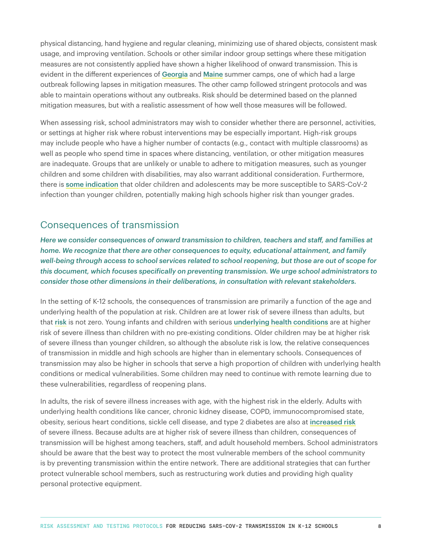physical distancing, hand hygiene and regular cleaning, minimizing use of shared objects, consistent mask usage, and improving ventilation. Schools or other similar indoor group settings where these mitigation measures are not consistently applied have shown a higher likelihood of onward transmission. This is evident in the different experiences of [Georgia](https://www.cdc.gov/mmwr/volumes/69/wr/mm6931e1.htm?s_cid=mm6931e1_w) and [Maine](https://www.cdc.gov/mmwr/volumes/69/wr/mm6935e1.htm?s_cid=mm6935e1_w) summer camps, one of which had a large outbreak following lapses in mitigation measures. The other camp followed stringent protocols and was able to maintain operations without any outbreaks. Risk should be determined based on the planned mitigation measures, but with a realistic assessment of how well those measures will be followed.

When assessing risk, school administrators may wish to consider whether there are personnel, activities, or settings at higher risk where robust interventions may be especially important. High-risk groups may include people who have a higher number of contacts (e.g., contact with multiple classrooms) as well as people who spend time in spaces where distancing, ventilation, or other mitigation measures are inadequate. Groups that are unlikely or unable to adhere to mitigation measures, such as younger children and some children with disabilities, may also warrant additional consideration. Furthermore, there is [some indication](https://jamanetwork.com/journals/jamapediatrics/fullarticle/2771181) that older children and adolescents may be more susceptible to SARS-CoV-2 infection than younger children, potentially making high schools higher risk than younger grades.

### Consequences of transmission

*Here we consider consequences of onward transmission to children, teachers and staff, and families at home. We recognize that there are other consequences to equity, educational attainment, and family well-being through access to school services related to school reopening, but those are out of scope for this document, which focuses specifically on preventing transmission. We urge school administrators to consider those other dimensions in their deliberations, in consultation with relevant stakeholders.*

In the setting of K-12 schools, the consequences of transmission are primarily a function of the age and underlying health of the population at risk. Children are at lower risk of severe illness than adults, but that [risk](https://www.bmj.com/content/370/bmj.m3249) is not zero. Young infants and children with serious [underlying health conditions](https://www.cdc.gov/mmwr/volumes/69/wr/mm6939e2.htm?s_cid=mm6939e2_w) are at higher risk of severe illness than children with no pre-existing conditions. Older children may be at higher risk of severe illness than younger children, so although the absolute risk is low, the relative consequences of transmission in middle and high schools are higher than in elementary schools. Consequences of transmission may also be higher in schools that serve a high proportion of children with underlying health conditions or medical vulnerabilities. Some children may need to continue with remote learning due to these vulnerabilities, regardless of reopening plans.

In adults, the risk of severe illness increases with age, with the highest risk in the elderly. Adults with underlying health conditions like cancer, chronic kidney disease, COPD, immunocompromised state, obesity, serious heart conditions, sickle cell disease, and type 2 diabetes are also at [increased risk](https://www.cdc.gov/coronavirus/2019-ncov/need-extra-precautions/index.html?CDC_AA_refVal=https%3A%2F%2Fwww.cdc.gov%2Fcoronavirus%2F2019-ncov%2Fneed-extra-precautions%2Fpeople-at-increased-risk.html) of severe illness. Because adults are at higher risk of severe illness than children, consequences of transmission will be highest among teachers, staff, and adult household members. School administrators should be aware that the best way to protect the most vulnerable members of the school community is by preventing transmission within the entire network. There are additional strategies that can further protect vulnerable school members, such as restructuring work duties and providing high quality personal protective equipment.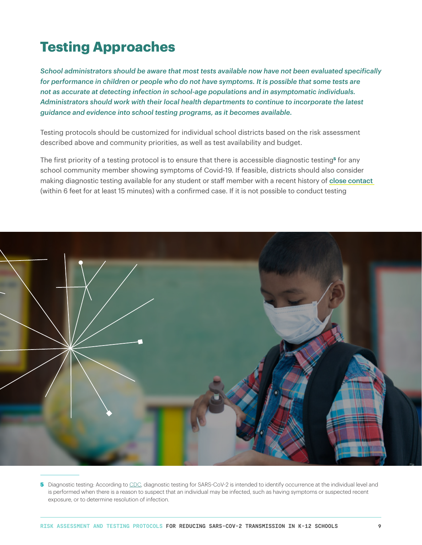## **Testing Approaches**

*School administrators should be aware that most tests available now have not been evaluated specifically for performance in children or people who do not have symptoms. It is possible that some tests are not as accurate at detecting infection in school-age populations and in asymptomatic individuals. Administrators should work with their local health departments to continue to incorporate the latest guidance and evidence into school testing programs, as it becomes available.*

Testing protocols should be customized for individual school districts based on the risk assessment described above and community priorities, as well as test availability and budget.

The first priority of a testing protocol is to ensure that there is accessible diagnostic testing**5** for any school community member showing symptoms of Covid-19. If feasible, districts should also consider making diagnostic testing available for any student or staff member with a recent history of [close contact](https://www.cdc.gov/coronavirus/2019-ncov/php/contact-tracing/contact-tracing-plan/contact-tracing.html) (within 6 feet for at least 15 minutes) with a confirmed case. If it is not possible to conduct testing



**5** Diagnostic testing: According to [CDC,](https://www.cdc.gov/coronavirus/2019-ncov/lab/pooling-procedures.html) diagnostic testing for SARS-CoV-2 is intended to identify occurrence at the individual level and is performed when there is a reason to suspect that an individual may be infected, such as having symptoms or suspected recent exposure, or to determine resolution of infection.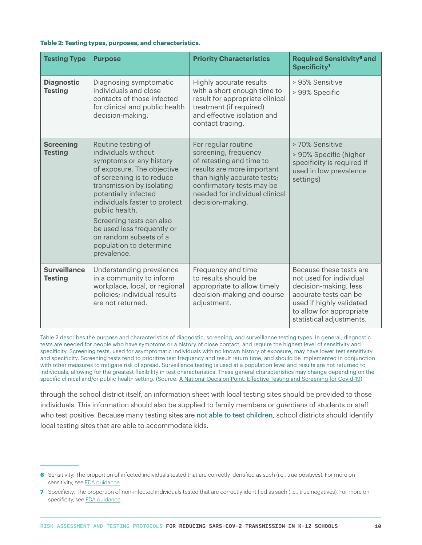#### **Table 2: Testing types, purposes, and characteristics.**

| <b>Testing Type</b>                   | <b>Purpose</b>                                                                                                                                                                                                                                                                                                                                                        | <b>Priority Characteristics</b>                                                                                                                                                                                         | <b>Required Sensitivity<sup>6</sup> and</b><br>Specificity <sup>7</sup>                                                                                                                  |
|---------------------------------------|-----------------------------------------------------------------------------------------------------------------------------------------------------------------------------------------------------------------------------------------------------------------------------------------------------------------------------------------------------------------------|-------------------------------------------------------------------------------------------------------------------------------------------------------------------------------------------------------------------------|------------------------------------------------------------------------------------------------------------------------------------------------------------------------------------------|
| <b>Diagnostic</b><br><b>Testing</b>   | Diagnosing symptomatic<br>individuals and close<br>contacts of those infected<br>for clinical and public health<br>decision-making.                                                                                                                                                                                                                                   | Highly accurate results<br>with a short enough time to<br>result for appropriate clinical<br>treatment (if required)<br>and effective isolation and<br>contact tracing.                                                 | > 95% Sensitive<br>> 99% Specific                                                                                                                                                        |
| <b>Screening</b><br><b>Testing</b>    | Routine testing of<br>individuals without<br>symptoms or any history<br>of exposure. The objective<br>of screening is to reduce<br>transmission by isolating<br>potentially infected<br>individuals faster to protect<br>public health.<br>Screening tests can also<br>be used less frequently or<br>on random subsets of a<br>population to determine<br>prevalence. | For regular routine<br>screening, frequency<br>of retesting and time to<br>results are more important<br>than highly accurate tests;<br>confirmatory tests may be<br>needed for individual clinical<br>decision-making. | > 70% Sensitive<br>> 90% Specific (higher<br>specificity is required if<br>used in low prevalence<br>settings)                                                                           |
| <b>Surveillance</b><br><b>Testing</b> | Understanding prevalence<br>in a community to inform<br>workplace, local, or regional<br>policies; individual results<br>are not returned.                                                                                                                                                                                                                            | Frequency and time<br>to results should be<br>appropriate to allow timely<br>decision-making and course<br>adjustment.                                                                                                  | Because these tests are<br>not used for individual<br>decision-making, less<br>accurate tests can be<br>used if highly validated<br>to allow for appropriate<br>statistical adjustments. |

Table 2 describes the purpose and characteristics of diagnostic, screening, and surveillance testing types. In general, diagnostic tests are needed for people who have symptoms or a history of close contact, and require the highest level of sensitivity and specificity. Screening tests, used for asymptomatic individuals with no known history of exposure, may have lower test sensitivity and specificity. Screening tests tend to prioritize test frequency and result return time, and should be implemented in conjunction with other measures to mitigate risk of spread. Surveillance testing is used at a population level and results are not returned to individuals, allowing for the greatest flexibility in test characteristics. These general characteristics may change depending on the specific clinical and/or public health setting. (Source: [A National Decision Point: Effective Testing and Screening for Covid-19](https://www.rockefellerfoundation.org/wp-content/uploads/2020/09/A-National-Decision-Point-Effective-Testing-Screening-for-Covid-19-Full-Report.pdf))

through the school district itself, an information sheet with local testing sites should be provided to those individuals. This information should also be supplied to family members or guardians of students or staff who test positive. Because many testing sites are [not able to test children](https://www.nytimes.com/2020/09/08/upshot/children-testing-shortfalls-virus.html), school districts should identify local testing sites that are able to accommodate kids.

**<sup>6</sup>** Sensitivity: The proportion of infected individuals tested that are correctly identified as such (i.e., true positives). For more on s[e](https://www.fda.gov/regulatory-information/search-fda-guidance-documents/statistical-guidance-reporting-results-studies-evaluating-diagnostic-tests-guidance-industry-and-fda)nsitivity, see [FDA guidance.](https://www.fda.gov/regulatory-information/search-fda-guidance-documents/statistical-guidance-reporting-results-studies-evaluating-diagnostic-tests-guidance-industry-and-fda)

**<sup>7</sup>** Specificity: The proportion of non-infected individuals tested that are correctly identified as such (i.e., true negatives). For more on sp[e](https://www.fda.gov/regulatory-information/search-fda-guidance-documents/statistical-guidance-reporting-results-studies-evaluating-diagnostic-tests-guidance-industry-and-fda)cificity, see **FDA** guidance.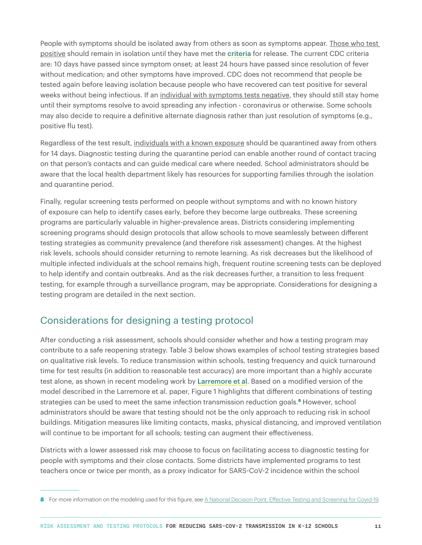People with symptoms should be isolated away from others as soon as symptoms appear. Those who test positive should remain in isolation until they have met the [criteria](https://www.cdc.gov/coronavirus/2019-ncov/hcp/disposition-in-home-patients.html) for release. The current CDC criteria are: 10 days have passed since symptom onset; at least 24 hours have passed since resolution of fever without medication; and other symptoms have improved. CDC does not recommend that people be tested again before leaving isolation because people who have recovered can test positive for several weeks without being infectious. If an individual with symptoms tests negative, they should still stay home until their symptoms resolve to avoid spreading any infection - coronavirus or otherwise. Some schools may also decide to require a definitive alternate diagnosis rather than just resolution of symptoms (e.g., positive flu test).

Regardless of the test result, individuals with a known exposure should be quarantined away from others for 14 days. Diagnostic testing during the quarantine period can enable another round of contact tracing on that person's contacts and can guide medical care where needed. School administrators should be aware that the local health department likely has resources for supporting families through the isolation and quarantine period.

Finally, regular screening tests performed on people without symptoms and with no known history of exposure can help to identify cases early, before they become large outbreaks. These screening programs are particularly valuable in higher-prevalence areas. Districts considering implementing screening programs should design protocols that allow schools to move seamlessly between different testing strategies as community prevalence (and therefore risk assessment) changes. At the highest risk levels, schools should consider returning to remote learning. As risk decreases but the likelihood of multiple infected individuals at the school remains high, frequent routine screening tests can be deployed to help identify and contain outbreaks. And as the risk decreases further, a transition to less frequent testing, for example through a surveillance program, may be appropriate. Considerations for designing a testing program are detailed in the next section.

### Considerations for designing a testing protocol

After conducting a risk assessment, schools should consider whether and how a testing program may contribute to a safe reopening strategy. Table 3 below shows examples of school testing strategies based on qualitative risk levels. To reduce transmission within schools, testing frequency and quick turnaround time for test results (in addition to reasonable test accuracy) are more important than a highly accurate test alone, as shown in recent modeling work by [Larremore et al](https://www.medrxiv.org/content/10.1101/2020.06.22.20136309v2). Based on a modified version of the model described in the Larremore et al. paper, Figure 1 highlights that different combinations of testing strategies can be used to meet the same infection transmission reduction goals.**8** However, school administrators should be aware that testing should not be the only approach to reducing risk in school buildings. Mitigation measures like limiting contacts, masks, physical distancing, and improved ventilation will continue to be important for all schools; testing can augment their effectiveness.

Districts with a lower assessed risk may choose to focus on facilitating access to diagnostic testing for people with symptoms and their close contacts. Some districts have implemented programs to test teachers once or twice per month, as a proxy indicator for SARS-CoV-2 incidence within the school

<sup>8</sup> For more information on the modeling used for this figure, see [A National Decision Point: Effective Testing and Screening for Covid-19](https://www.rockefellerfoundation.org/wp-content/uploads/2020/09/A-National-Decision-Point-Effective-Testing-Screening-for-Covid-19-Full-Report.pdf).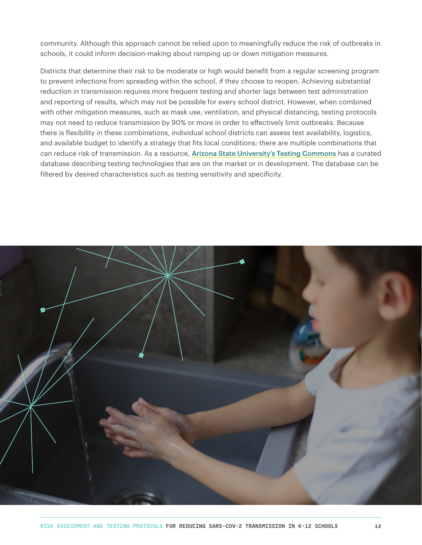community. Although this approach cannot be relied upon to meaningfully reduce the risk of outbreaks in schools, it could inform decision-making about ramping up or down mitigation measures.

Districts that determine their risk to be moderate or high would benefit from a regular screening program to prevent infections from spreading within the school, if they choose to reopen. Achieving substantial reduction in transmission requires more frequent testing and shorter lags between test administration and reporting of results, which may not be possible for every school district. However, when combined with other mitigation measures, such as mask use, ventilation, and physical distancing, testing protocols may not need to reduce transmission by 90% or more in order to effectively limit outbreaks. Because there is flexibility in these combinations, individual school districts can assess test availability, logistics, and available budget to identify a strategy that fits local conditions; there are multiple combinations that can reduce risk of transmission. As a resource, [Arizona State University's Testing Commons](https://chs.asu.edu/diagnostics-commons/testing-commons) has a curated database describing testing technologies that are on the market or in development. The database can be filtered by desired characteristics such as testing sensitivity and specificity.

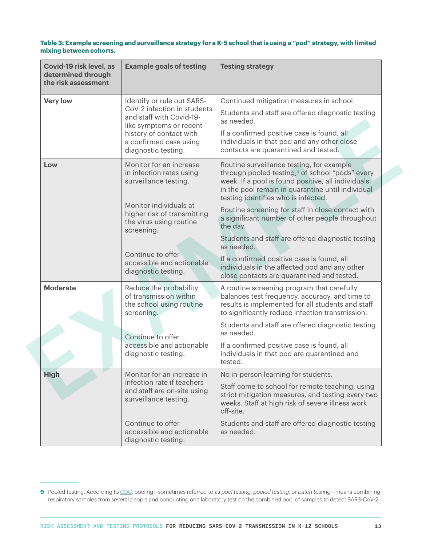#### **Table 3: Example screening and surveillance strategy for a K-5 school that is using a "pod" strategy, with limited mixing between cohorts.**

| Covid-19 risk level, as<br>determined through<br>the risk assessment | <b>Example goals of testing</b>                                                                                                                                                                                                                         | <b>Testing strategy</b>                                                                                                                                                                                                                                                                                                                                                                                                                                                                                                                                                                        |
|----------------------------------------------------------------------|---------------------------------------------------------------------------------------------------------------------------------------------------------------------------------------------------------------------------------------------------------|------------------------------------------------------------------------------------------------------------------------------------------------------------------------------------------------------------------------------------------------------------------------------------------------------------------------------------------------------------------------------------------------------------------------------------------------------------------------------------------------------------------------------------------------------------------------------------------------|
| <b>Very low</b>                                                      | Identify or rule out SARS-<br>CoV-2 infection in students<br>and staff with Covid-19-<br>like symptoms or recent<br>history of contact with<br>a confirmed case using<br>diagnostic testing.                                                            | Continued mitigation measures in school.<br>Students and staff are offered diagnostic testing<br>as needed.<br>If a confirmed positive case is found, all<br>individuals in that pod and any other close<br>contacts are quarantined and tested.                                                                                                                                                                                                                                                                                                                                               |
| Low                                                                  | Monitor for an increase<br>in infection rates using<br>surveillance testing.<br>Monitor individuals at<br>higher risk of transmitting<br>the virus using routine<br>screening.<br>Continue to offer<br>accessible and actionable<br>diagnostic testing. | Routine surveillance testing, for example<br>through pooled testing, <sup>9</sup> of school "pods" every<br>week. If a pool is found positive, all individuals<br>in the pool remain in quarantine until individual<br>testing identifies who is infected.<br>Routine screening for staff in close contact with<br>a significant number of other people throughout<br>the day.<br>Students and staff are offered diagnostic testing<br>as needed.<br>If a confirmed positive case is found, all<br>individuals in the affected pod and any other<br>close contacts are quarantined and tested. |
| <b>Moderate</b>                                                      | Reduce the probability<br>of transmission within<br>the school using routine<br>screening.<br>Continue to offer<br>accessible and actionable<br>diagnostic testing.                                                                                     | A routine screening program that carefully<br>balances test frequency, accuracy, and time to<br>results is implemented for all students and staff<br>to significantly reduce infection transmission.<br>Students and staff are offered diagnostic testing<br>as needed.<br>If a confirmed positive case is found, all<br>individuals in that pod are quarantined and<br>tested.                                                                                                                                                                                                                |
| <b>High</b>                                                          | Monitor for an increase in<br>infection rate if teachers<br>and staff are on-site using<br>surveillance testing.<br>Continue to offer<br>accessible and actionable<br>diagnostic testing.                                                               | No in-person learning for students.<br>Staff come to school for remote teaching, using<br>strict mitigation measures, and testing every two<br>weeks. Staff at high risk of severe illness work<br>off-site.<br>Students and staff are offered diagnostic testing<br>as needed.                                                                                                                                                                                                                                                                                                                |

**<sup>9</sup>** Pooled testing: According t[o](https://www.cdc.gov/coronavirus/2019-ncov/lab/pooling-procedures.html) [CDC](https://www.cdc.gov/coronavirus/2019-ncov/lab/pooling-procedures.html), pooling—sometimes referred to as *pool testing*, *pooled testing*, or *batch testing*—means combining respiratory samples from several people and conducting one laboratory test on the combined pool of samples to detect SARS-CoV-2.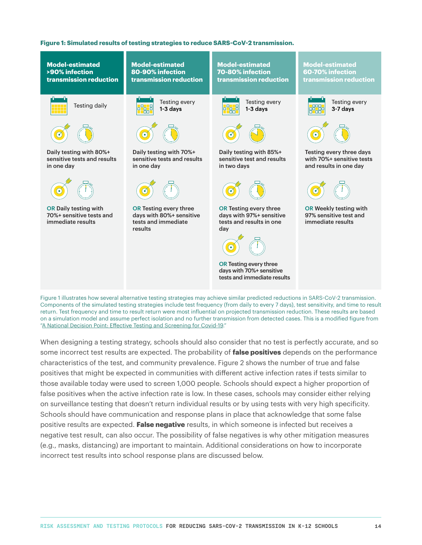#### **Figure 1: Simulated results of testing strategies to reduce SARS-CoV-2 transmission.**



Figure 1 illustrates how several alternative testing strategies may achieve similar predicted reductions in SARS-CoV-2 transmission. Components of the simulated testing strategies include test frequency (from daily to every 7 days), test sensitivity, and time to result return. Test frequency and time to result return were most influential on projected transmission reduction. These results are based on a simulation model and assume perfect isolation and no further transmission from detected cases. This is a modified figure from ["A National Decision Point: Effective Testing and Screening for Covid-19.](https://www.rockefellerfoundation.org/wp-content/uploads/2020/09/A-National-Decision-Point-Effective-Testing-Screening-for-Covid-19-Full-Report.pdf)"

When designing a testing strategy, schools should also consider that no test is perfectly accurate, and so some incorrect test results are expected. The probability of **false positives** depends on the performance characteristics of the test, and community prevalence. Figure 2 shows the number of true and false positives that might be expected in communities with different active infection rates if tests similar to those available today were used to screen 1,000 people. Schools should expect a higher proportion of false positives when the active infection rate is low. In these cases, schools may consider either relying on surveillance testing that doesn't return individual results or by using tests with very high specificity. Schools should have communication and response plans in place that acknowledge that some false positive results are expected. **False negative** results, in which someone is infected but receives a negative test result, can also occur. The possibility of false negatives is why other mitigation measures (e.g., masks, distancing) are important to maintain. Additional considerations on how to incorporate incorrect test results into school response plans are discussed below.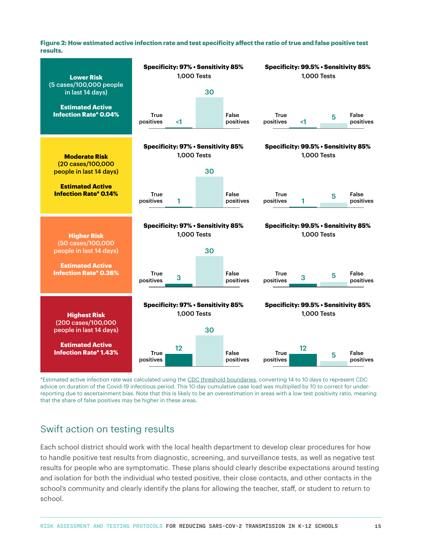**Figure 2: How estimated active infection rate and test specificity affect the ratio of true and false positive test results.**

| <b>Lower Risk</b>                                       | Specificity: 97% · Sensitivity 85%<br><b>1,000 Tests</b> |                    |                                           | Specificity: 99.5% · Sensitivity 85%<br><b>1,000 Tests</b> |                                      |    |                    |                    |
|---------------------------------------------------------|----------------------------------------------------------|--------------------|-------------------------------------------|------------------------------------------------------------|--------------------------------------|----|--------------------|--------------------|
| (5 cases/100,000 people<br>in last 14 days)             |                                                          |                    | 30                                        |                                                            |                                      |    |                    |                    |
| <b>Estimated Active</b><br><b>Infection Rate* 0.04%</b> | <b>True</b><br>positives                                 | $\leq$ 1           |                                           | False<br>positives                                         | <b>True</b><br>positives             | <1 | 5                  | False<br>positives |
|                                                         |                                                          |                    | <b>Specificity: 97% · Sensitivity 85%</b> |                                                            | Specificity: 99.5% · Sensitivity 85% |    |                    |                    |
| <b>Moderate Risk</b>                                    |                                                          | <b>1.000 Tests</b> |                                           |                                                            |                                      |    | <b>1.000 Tests</b> |                    |
| (20 cases/100,000<br>people in last 14 days)            |                                                          |                    | 30                                        |                                                            |                                      |    |                    |                    |
| <b>Estimated Active</b><br><b>Infection Rate* 0.14%</b> | <b>True</b><br>positives                                 | 1                  |                                           | False<br>positives                                         | <b>True</b><br>positives             | 1  | 5                  | False<br>positives |
|                                                         |                                                          |                    |                                           |                                                            |                                      |    |                    |                    |
|                                                         |                                                          |                    |                                           |                                                            |                                      |    |                    |                    |
| <b>Higher Risk</b>                                      |                                                          | <b>1,000 Tests</b> | <b>Specificity: 97% · Sensitivity 85%</b> |                                                            | Specificity: 99.5% · Sensitivity 85% |    | <b>1,000 Tests</b> |                    |
| (50 cases/100,000<br>people in last 14 days)            |                                                          |                    | 30                                        |                                                            |                                      |    |                    |                    |
| <b>Estimated Active</b><br><b>Infection Rate* 0.36%</b> | <b>True</b>                                              |                    |                                           | False                                                      | <b>True</b>                          |    |                    | False              |
|                                                         | positives                                                | 3                  |                                           | positives                                                  | positives                            | 3  | 5                  | positives          |
|                                                         |                                                          |                    |                                           |                                                            |                                      |    |                    |                    |
| <b>Highest Risk</b>                                     |                                                          | <b>1,000 Tests</b> | Specificity: 97% · Sensitivity 85%        |                                                            | Specificity: 99.5% · Sensitivity 85% |    | <b>1,000 Tests</b> |                    |
| (200 cases/100,000<br>people in last 14 days)           |                                                          |                    | 30                                        |                                                            |                                      |    |                    |                    |

\*Estimated active infection rate was calculated using the [CDC threshold boundaries,](https://www.cdc.gov/coronavirus/2019-ncov/community/schools-childcare/indicators.html#thresholds) converting 14 to 10 days to represent CDC advice on duration of the Covid-19 infectious period. This 10-day cumulative case load was multiplied by 10 to correct for underreporting due to ascertainment bias. Note that this is likely to be an overestimation in areas with a low test positivity ratio, meaning that the share of false positives may be higher in these areas.

### Swift action on testing results

Each school district should work with the local health department to develop clear procedures for how to handle positive test results from diagnostic, screening, and surveillance tests, as well as negative test results for people who are symptomatic. These plans should clearly describe expectations around testing and isolation for both the individual who tested positive, their close contacts, and other contacts in the school's community and clearly identify the plans for allowing the teacher, staff, or student to return to school.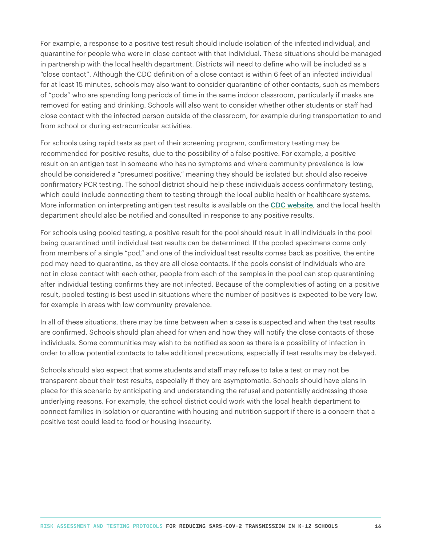For example, a response to a positive test result should include isolation of the infected individual, and quarantine for people who were in close contact with that individual. These situations should be managed in partnership with the local health department. Districts will need to define who will be included as a "close contact". Although the CDC definition of a close contact is within 6 feet of an infected individual for at least 15 minutes, schools may also want to consider quarantine of other contacts, such as members of "pods" who are spending long periods of time in the same indoor classroom, particularly if masks are removed for eating and drinking. Schools will also want to consider whether other students or staff had close contact with the infected person outside of the classroom, for example during transportation to and from school or during extracurricular activities.

For schools using rapid tests as part of their screening program, confirmatory testing may be recommended for positive results, due to the possibility of a false positive. For example, a positive result on an antigen test in someone who has no symptoms and where community prevalence is low should be considered a "presumed positive," meaning they should be isolated but should also receive confirmatory PCR testing. The school district should help these individuals access confirmatory testing, which could include connecting them to testing through the local public health or healthcare systems. More information on interpreting antigen test results is available on the [CDC website](https://www.cdc.gov/coronavirus/2019-ncov/lab/resources/antigen-tests-guidelines.html), and the local health department should also be notified and consulted in response to any positive results.

For schools using pooled testing, a positive result for the pool should result in all individuals in the pool being quarantined until individual test results can be determined. If the pooled specimens come only from members of a single "pod," and one of the individual test results comes back as positive, the entire pod may need to quarantine, as they are all close contacts. If the pools consist of individuals who are not in close contact with each other, people from each of the samples in the pool can stop quarantining after individual testing confirms they are not infected. Because of the complexities of acting on a positive result, pooled testing is best used in situations where the number of positives is expected to be very low, for example in areas with low community prevalence.

In all of these situations, there may be time between when a case is suspected and when the test results are confirmed. Schools should plan ahead for when and how they will notify the close contacts of those individuals. Some communities may wish to be notified as soon as there is a possibility of infection in order to allow potential contacts to take additional precautions, especially if test results may be delayed.

Schools should also expect that some students and staff may refuse to take a test or may not be transparent about their test results, especially if they are asymptomatic. Schools should have plans in place for this scenario by anticipating and understanding the refusal and potentially addressing those underlying reasons. For example, the school district could work with the local health department to connect families in isolation or quarantine with housing and nutrition support if there is a concern that a positive test could lead to food or housing insecurity.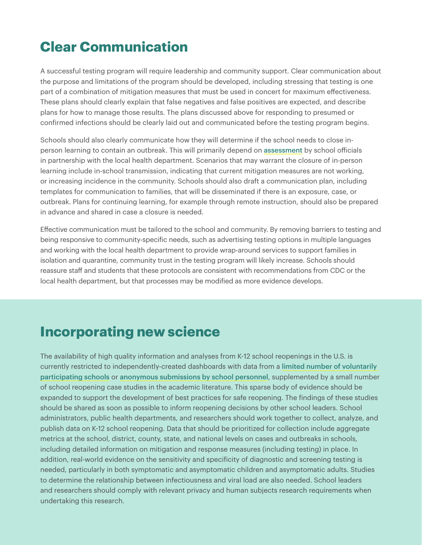## **Clear Communication**

A successful testing program will require leadership and community support. Clear communication about the purpose and limitations of the program should be developed, including stressing that testing is one part of a combination of mitigation measures that must be used in concert for maximum effectiveness. These plans should clearly explain that false negatives and false positives are expected, and describe plans for how to manage those results. The plans discussed above for responding to presumed or confirmed infections should be clearly laid out and communicated before the testing program begins.

Schools should also clearly communicate how they will determine if the school needs to close inperson learning to contain an outbreak. This will primarily depend on [assessment](https://www.nytimes.com/2020/08/03/us/school-closing-coronavirus.html) by school officials in partnership with the local health department. Scenarios that may warrant the closure of in-person learning include in-school transmission, indicating that current mitigation measures are not working, or increasing incidence in the community. Schools should also draft a communication plan, including templates for communication to families, that will be disseminated if there is an exposure, case, or outbreak. Plans for continuing learning, for example through remote instruction, should also be prepared in advance and shared in case a closure is needed.

Effective communication must be tailored to the school and community. By removing barriers to testing and being responsive to community-specific needs, such as advertising testing options in multiple languages and working with the local health department to provide wrap-around services to support families in isolation and quarantine, community trust in the testing program will likely increase. Schools should reassure staff and students that these protocols are consistent with recommendations from CDC or the local health department, but that processes may be modified as more evidence develops.

### **Incorporating new science**

The availability of high quality information and analyses from K-12 school reopenings in the U.S. is currently restricted to independently-created dashboards with data from a [limited number of voluntarily](https://statsiq.co1.qualtrics.com/public-dashboard/v0/dashboard/5f62eaee4451ae001535c839#/dashboard/5f62eaee4451ae001535c839?pageId=Page_1ac6a6bc-92b6-423e-9f7a-259a18648318
)  [participating schools](https://statsiq.co1.qualtrics.com/public-dashboard/v0/dashboard/5f62eaee4451ae001535c839#/dashboard/5f62eaee4451ae001535c839?pageId=Page_1ac6a6bc-92b6-423e-9f7a-259a18648318
) or [anonymous submissions by school personnel](https://public.tableau.com/profile/jon.w1876?fbclid=IwAR2cW3O_WiyP4QR8dyyaJ0M4RmxhWTTY_VbJYvr4KDqRhlhD0fmvhpYePfk#!/vizhome/COVID-19USSchools/Dashboard1), supplemented by a small number of school reopening case studies in the academic literature. This sparse body of evidence should be expanded to support the development of best practices for safe reopening. The findings of these studies should be shared as soon as possible to inform reopening decisions by other school leaders. School administrators, public health departments, and researchers should work together to collect, analyze, and publish data on K-12 school reopening. Data that should be prioritized for collection include aggregate metrics at the school, district, county, state, and national levels on cases and outbreaks in schools, including detailed information on mitigation and response measures (including testing) in place. In addition, real-world evidence on the sensitivity and specificity of diagnostic and screening testing is needed, particularly in both symptomatic and asymptomatic children and asymptomatic adults. Studies to determine the relationship between infectiousness and viral load are also needed. School leaders and researchers should comply with relevant privacy and human subjects research requirements when undertaking this research.